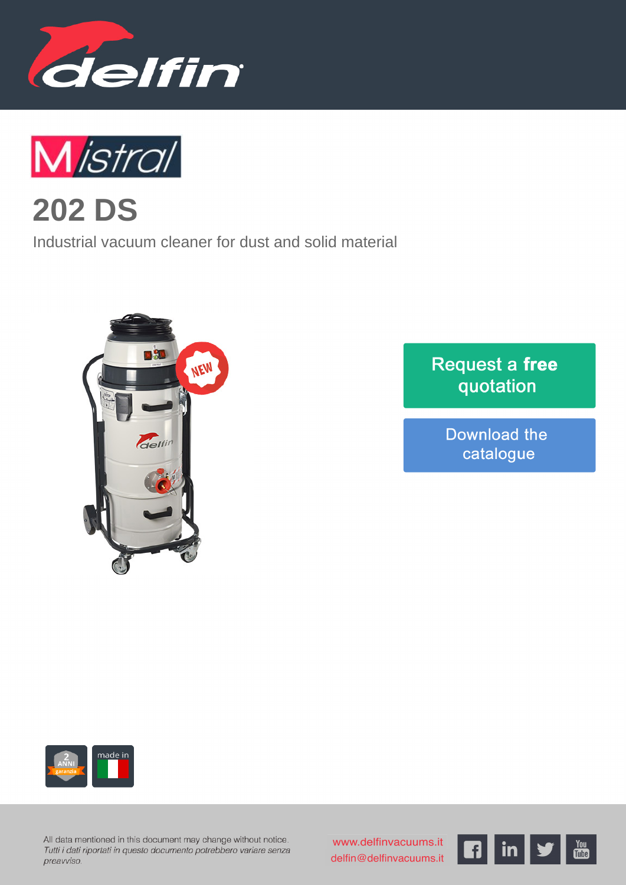



**202 DS**

Industrial vacuum cleaner for dust and solid material



## Request a free quotation

Download the catalogue



All data mentioned in this document may change without notice. Tutti i dati riportati in questo documento potrebbero variare senza preavviso.

www.delfinvacuums.it delfin@delfinvacuums.it

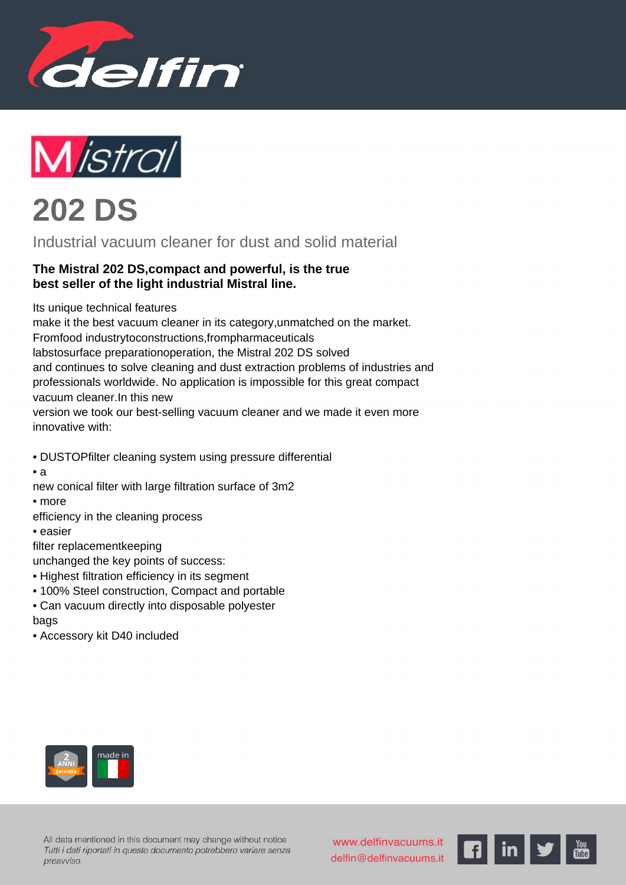





Industrial vacuum cleaner for dust and solid material

## **The Mistral 202 DS,compact and powerful, is the true best seller of the light industrial Mistral line.**

Its unique technical features

make it the best vacuum cleaner in its category,unmatched on the market. Fromfood industrytoconstructions,frompharmaceuticals labstosurface preparationoperation, the Mistral 202 DS solved and continues to solve cleaning and dust extraction problems of industries and professionals worldwide. No application is impossible for this great compact vacuum cleaner.In this new

version we took our best-selling vacuum cleaner and we made it even more innovative with:

- • DUSTOPfilter cleaning system using pressure differential
- $\bullet$  a

new conical filter with large filtration surface of 3m2

- • more
- efficiency in the cleaning process
	- • easier

filter replacementkeeping

unchanged the key points of success:

- • Highest filtration efficiency in its segment
- • 100% Steel construction, Compact and portable
- • Can vacuum directly into disposable polyester

## bags

 • Accessory kit D40 included



All data mentioned in this document may change without notice. Tutti i dati riportati in questo documento potrebbero variare senza preavviso.

www.delfinvacuums.it delfin@delfinvacuums.it